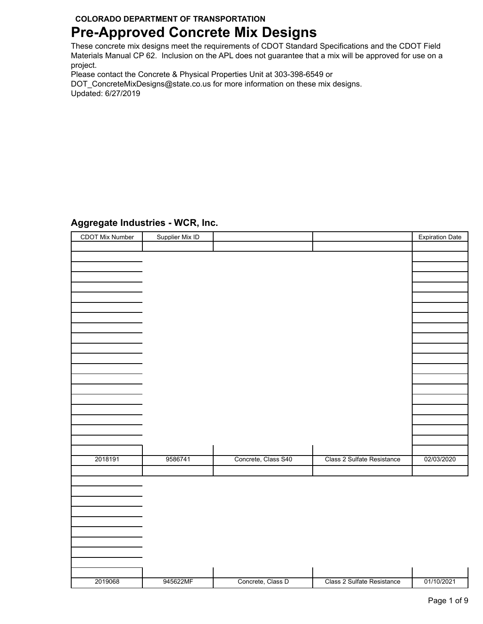# **Pre-Approved Concrete Mix Designs**

These concrete mix designs meet the requirements of CDOT Standard Specifications and the CDOT Field Materials Manual CP 62. Inclusion on the APL does not guarantee that a mix will be approved for use on a project.

Please contact the Concrete & Physical Properties Unit at 303-398-6549 or

DOT\_ConcreteMixDesigns@state.co.us for more information on these mix designs. Updated: 6/27/2019

## **Aggregate Industries - WCR, Inc.**

| CDOT Mix Number | Supplier Mix ID |                     |                            | <b>Expiration Date</b> |
|-----------------|-----------------|---------------------|----------------------------|------------------------|
|                 |                 |                     |                            |                        |
|                 |                 |                     |                            |                        |
|                 |                 |                     |                            |                        |
|                 |                 |                     |                            |                        |
|                 |                 |                     |                            |                        |
|                 |                 |                     |                            |                        |
|                 |                 |                     |                            |                        |
|                 |                 |                     |                            |                        |
|                 |                 |                     |                            |                        |
|                 |                 |                     |                            |                        |
|                 |                 |                     |                            |                        |
|                 |                 |                     |                            |                        |
|                 |                 |                     |                            |                        |
|                 |                 |                     |                            |                        |
|                 |                 |                     |                            |                        |
|                 |                 |                     |                            |                        |
|                 |                 |                     |                            |                        |
|                 |                 |                     |                            |                        |
|                 |                 |                     |                            |                        |
|                 |                 |                     |                            |                        |
|                 |                 |                     |                            |                        |
|                 |                 |                     |                            |                        |
|                 |                 |                     |                            |                        |
|                 |                 |                     |                            |                        |
|                 |                 |                     |                            |                        |
|                 |                 |                     |                            |                        |
|                 |                 |                     |                            |                        |
| 2018191         | 9586741         | Concrete, Class S40 | Class 2 Sulfate Resistance | 02/03/2020             |
|                 |                 |                     |                            |                        |
|                 |                 |                     |                            |                        |
|                 |                 |                     |                            |                        |
|                 |                 |                     |                            |                        |
|                 |                 |                     |                            |                        |
|                 |                 |                     |                            |                        |
|                 |                 |                     |                            |                        |
|                 |                 |                     |                            |                        |
|                 |                 |                     |                            |                        |
|                 |                 |                     |                            |                        |
|                 |                 |                     |                            |                        |
|                 |                 |                     |                            |                        |
|                 |                 |                     |                            |                        |
|                 |                 |                     |                            |                        |
|                 |                 |                     |                            |                        |
| 2019068         | 945622MF        | Concrete, Class D   | Class 2 Sulfate Resistance | 01/10/2021             |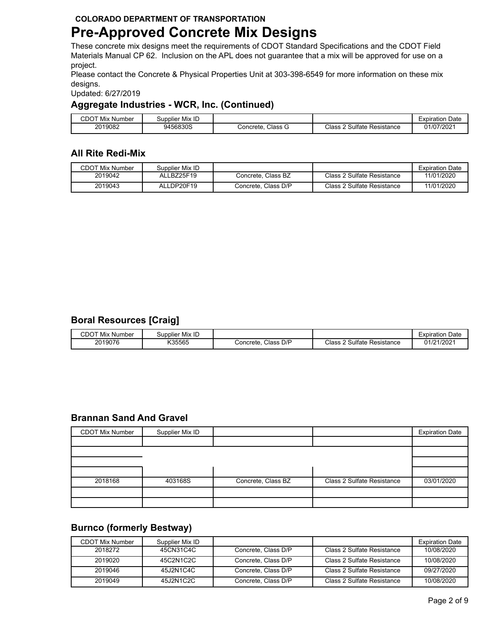## **Pre-Approved Concrete Mix Designs**

These concrete mix designs meet the requirements of CDOT Standard Specifications and the CDOT Field Materials Manual CP 62. Inclusion on the APL does not guarantee that a mix will be approved for use on a project.

Please contact the Concrete & Physical Properties Unit at 303-398-6549 for more information on these mix designs.

Updated: 6/27/2019

### **Aggregate Industries - WCR, Inc. (Continued)**

| CDO <sup>.</sup><br>Mix<br>Number | Supplier Mix ID |                     |                                           | Date<br>≞xpiratior |
|-----------------------------------|-----------------|---------------------|-------------------------------------------|--------------------|
| 2019082                           | 9456830S        | Class G<br>Concrete | <b>Class</b><br>P Sulfate ⊾<br>Resistance | 01/07/2021         |

## **All Rite Redi-Mix**

| <b>CDOT Mix Number</b> | Supplier Mix ID |                     |                            | <b>Expiration Date</b> |
|------------------------|-----------------|---------------------|----------------------------|------------------------|
| 2019042                | ALLBZ25F19      | Concrete, Class BZ  | Class 2 Sulfate Resistance | 11/01/2020             |
| 2019043                | ALLDP20F19      | Concrete, Class D/P | Class 2 Sulfate Resistance | 11/01/2020             |

## **Boral Resources [Craig]**

| CDOT<br>: Number<br>.<br>Mix | Supplier Mix ID |                           |                                     | Date<br>-vnir<br>ration<br>≞xטוו |
|------------------------------|-----------------|---------------------------|-------------------------------------|----------------------------------|
| 2019076                      | K35565          | D/P<br>ات ass<br>Concrete | Sulfate<br>Class<br>-<br>Resistance | 01/21/2021                       |

### **Brannan Sand And Gravel**

| <b>CDOT Mix Number</b> | Supplier Mix ID |                    |                            | <b>Expiration Date</b> |
|------------------------|-----------------|--------------------|----------------------------|------------------------|
|                        |                 |                    |                            |                        |
|                        |                 |                    |                            |                        |
|                        |                 |                    |                            |                        |
|                        |                 |                    |                            |                        |
| 2018168                | 403168S         | Concrete, Class BZ | Class 2 Sulfate Resistance | 03/01/2020             |
|                        |                 |                    |                            |                        |
|                        |                 |                    |                            |                        |

## **Burnco (formerly Bestway)**

| CDOT Mix Number | Supplier Mix ID |                     |                            | <b>Expiration Date</b> |
|-----------------|-----------------|---------------------|----------------------------|------------------------|
| 2018272         | 45CN31C4C       | Concrete. Class D/P | Class 2 Sulfate Resistance | 10/08/2020             |
| 2019020         | 45C2N1C2C       | Concrete. Class D/P | Class 2 Sulfate Resistance | 10/08/2020             |
| 2019046         | 45J2N1C4C       | Concrete. Class D/P | Class 2 Sulfate Resistance | 09/27/2020             |
| 2019049         | 45J2N1C2C       | Concrete, Class D/P | Class 2 Sulfate Resistance | 10/08/2020             |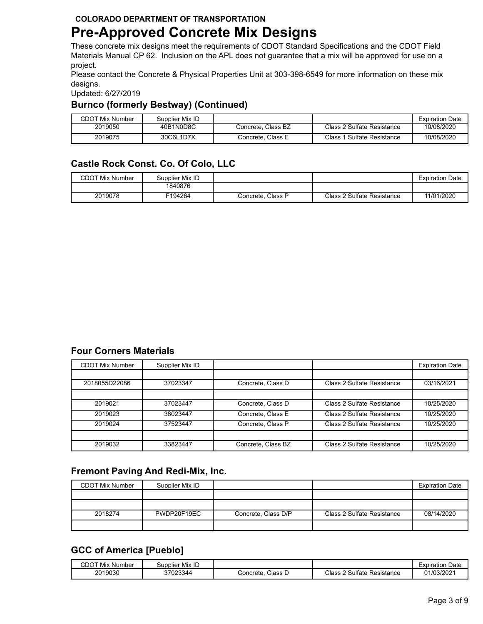# **Pre-Approved Concrete Mix Designs**

These concrete mix designs meet the requirements of CDOT Standard Specifications and the CDOT Field Materials Manual CP 62. Inclusion on the APL does not guarantee that a mix will be approved for use on a project.

Please contact the Concrete & Physical Properties Unit at 303-398-6549 for more information on these mix designs.

Updated: 6/27/2019

#### **Burnco (formerly Bestway) (Continued)**

| <b>CDOT Mix Number</b> | Supplier Mix ID |                    |                               | <b>Expiration Date</b> |
|------------------------|-----------------|--------------------|-------------------------------|------------------------|
| 2019050                | 40B1N0D8C       | Concrete. Class BZ | Class 2 Sulfate Resistance    | 10/08/2020             |
| 2019075                | 30C6L1D7X       | Concrete. Class E  | Class 1<br>Sulfate Resistance | 10/08/2020             |

## **Castle Rock Const. Co. Of Colo, LLC**

| <b>CDOT Mix Number</b> | Supplier Mix ID |                   |                            | <b>Expiration Date</b> |
|------------------------|-----------------|-------------------|----------------------------|------------------------|
|                        | 1840876         |                   |                            |                        |
| 2019078                | F194264         | Concrete. Class P | Class 2 Sulfate Resistance | 11/01/2020             |

## **Four Corners Materials**

| <b>CDOT Mix Number</b> | Supplier Mix ID |                    |                            | <b>Expiration Date</b> |
|------------------------|-----------------|--------------------|----------------------------|------------------------|
|                        |                 |                    |                            |                        |
| 2018055D22086          | 37023347        | Concrete, Class D  | Class 2 Sulfate Resistance | 03/16/2021             |
|                        |                 |                    |                            |                        |
| 2019021                | 37023447        | Concrete, Class D  | Class 2 Sulfate Resistance | 10/25/2020             |
| 2019023                | 38023447        | Concrete, Class E  | Class 2 Sulfate Resistance | 10/25/2020             |
| 2019024                | 37523447        | Concrete, Class P  | Class 2 Sulfate Resistance | 10/25/2020             |
|                        |                 |                    |                            |                        |
| 2019032                | 33823447        | Concrete, Class BZ | Class 2 Sulfate Resistance | 10/25/2020             |

## **Fremont Paving And Redi-Mix, Inc.**

| <b>CDOT Mix Number</b> | Supplier Mix ID |                     |                            | <b>Expiration Date</b> |
|------------------------|-----------------|---------------------|----------------------------|------------------------|
|                        |                 |                     |                            |                        |
|                        |                 |                     |                            |                        |
| 2018274                | PWDP20F19EC     | Concrete, Class D/P | Class 2 Sulfate Resistance | 08/14/2020             |
|                        |                 |                     |                            |                        |

## **GCC of America [Pueblo]**

| CDOT<br>.⊥ Mix ^′<br>Number | Supplier Mix ID |                      |                                 | <b>Expiration Date</b> |
|-----------------------------|-----------------|----------------------|---------------------------------|------------------------|
| 2019030                     | 37023344        | Class D<br>Concrete. | Class 2<br>2 Sulfate Resistance | 01/03/2021             |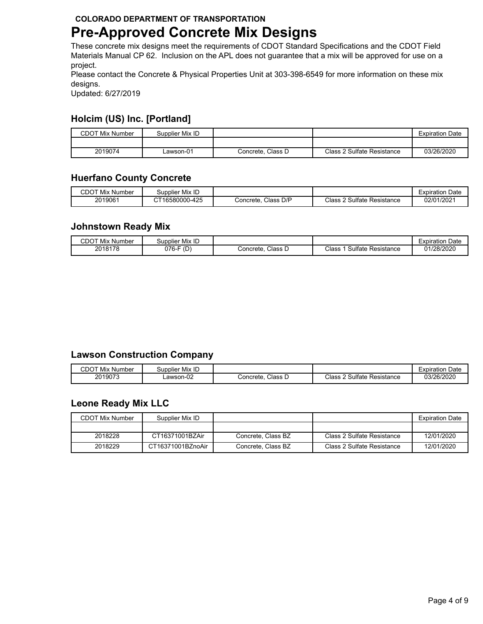# **Pre-Approved Concrete Mix Designs**

These concrete mix designs meet the requirements of CDOT Standard Specifications and the CDOT Field Materials Manual CP 62. Inclusion on the APL does not guarantee that a mix will be approved for use on a project.

Please contact the Concrete & Physical Properties Unit at 303-398-6549 for more information on these mix designs.

Updated: 6/27/2019

## **Holcim (US) Inc. [Portland]**

| <b>CDOT Mix Number</b> | Supplier Mix ID |                   |                            | <b>Expiration Date</b> |
|------------------------|-----------------|-------------------|----------------------------|------------------------|
|                        |                 |                   |                            |                        |
| 2019074                | ∟awson-01       | Concrete, Class D | Class 2 Sulfate Resistance | 03/26/2020             |

## **Huerfano County Concrete**

| <b>CDOT Mix</b><br>Number | Supplier Mix ID |                          |                                  | Expiration Date |
|---------------------------|-----------------|--------------------------|----------------------------------|-----------------|
| 2019061                   | CT16580000-425  | Class<br>D/P<br>Concrete | Class 2<br>Sulfate<br>Resistance | 02/01/2021      |

### **Johnstown Ready Mix**

| CDOT<br>Mix<br>. Number | Supplier Mix ID   |                     |                                | Expiration Date |
|-------------------------|-------------------|---------------------|--------------------------------|-----------------|
| 2018178                 | F/2<br>ว76-<br>ιD | Class D<br>Concrete | Class<br>Sulfate<br>Resistance | 01/28/2020      |

### **Lawson Construction Company**

| CDO<br>.<br>: Number<br>Mix | Supplier Mix ID |                        |                                            | Date<br>atıon<br>$-$ vnir<br>–∧มแ |
|-----------------------------|-----------------|------------------------|--------------------------------------------|-----------------------------------|
| 2019073                     | _awson-02       | Class<br>Concrete<br>ட | 2I<br>-<br>⊓ ultateد<br>Resistance<br>م ار | 03/26/2020                        |

### **Leone Ready Mix LLC**

| <b>CDOT Mix Number</b> | Supplier Mix ID   |                    |                            | <b>Expiration Date</b> |
|------------------------|-------------------|--------------------|----------------------------|------------------------|
|                        |                   |                    |                            |                        |
| 2018228                | CT16371001BZAir   | Concrete, Class BZ | Class 2 Sulfate Resistance | 12/01/2020             |
| 2018229                | CT16371001BZnoAir | Concrete, Class BZ | Class 2 Sulfate Resistance | 12/01/2020             |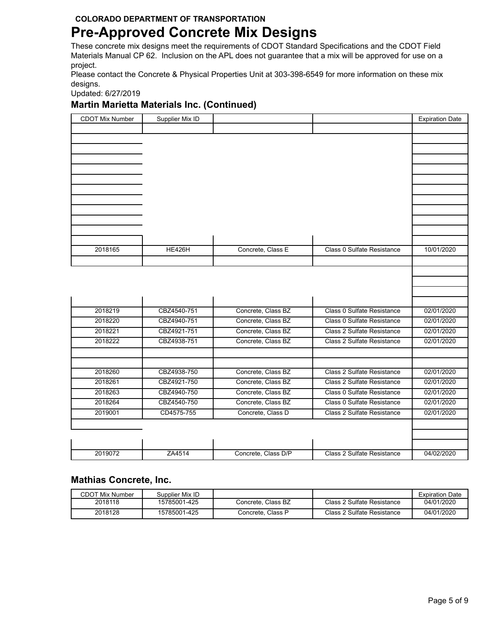# **Pre-Approved Concrete Mix Designs**

These concrete mix designs meet the requirements of CDOT Standard Specifications and the CDOT Field Materials Manual CP 62. Inclusion on the APL does not guarantee that a mix will be approved for use on a project.

Please contact the Concrete & Physical Properties Unit at 303-398-6549 for more information on these mix designs.

Updated: 6/27/2019

#### **Martin Marietta Materials Inc. (Continued)**

| <b>CDOT Mix Number</b> | Supplier Mix ID |                     |                            | <b>Expiration Date</b> |
|------------------------|-----------------|---------------------|----------------------------|------------------------|
|                        |                 |                     |                            |                        |
|                        |                 |                     |                            |                        |
|                        |                 |                     |                            |                        |
|                        |                 |                     |                            |                        |
|                        |                 |                     |                            |                        |
|                        |                 |                     |                            |                        |
|                        |                 |                     |                            |                        |
|                        |                 |                     |                            |                        |
|                        |                 |                     |                            |                        |
|                        |                 |                     |                            |                        |
|                        |                 |                     |                            |                        |
|                        |                 |                     |                            |                        |
| 2018165                | <b>HE426H</b>   | Concrete, Class E   | Class 0 Sulfate Resistance | 10/01/2020             |
|                        |                 |                     |                            |                        |
|                        |                 |                     |                            |                        |
|                        |                 |                     |                            |                        |
|                        |                 |                     |                            |                        |
|                        |                 |                     |                            |                        |
| 2018219                | CBZ4540-751     | Concrete, Class BZ  | Class 0 Sulfate Resistance | 02/01/2020             |
| 2018220                | CBZ4940-751     | Concrete, Class BZ  | Class 0 Sulfate Resistance | 02/01/2020             |
| 2018221                | CBZ4921-751     | Concrete, Class BZ  | Class 2 Sulfate Resistance | 02/01/2020             |
| 2018222                | CBZ4938-751     | Concrete, Class BZ  | Class 2 Sulfate Resistance | 02/01/2020             |
|                        |                 |                     |                            |                        |
|                        |                 |                     |                            |                        |
| 2018260                | CBZ4938-750     | Concrete, Class BZ  | Class 2 Sulfate Resistance | 02/01/2020             |
| 2018261                | CBZ4921-750     | Concrete, Class BZ  | Class 2 Sulfate Resistance | 02/01/2020             |
| 2018263                | CBZ4940-750     | Concrete, Class BZ  | Class 0 Sulfate Resistance | 02/01/2020             |
| 2018264                | CBZ4540-750     | Concrete, Class BZ  | Class 0 Sulfate Resistance | 02/01/2020             |
| 2019001                | CD4575-755      | Concrete, Class D   | Class 2 Sulfate Resistance | 02/01/2020             |
|                        |                 |                     |                            |                        |
|                        |                 |                     |                            |                        |
|                        |                 |                     |                            |                        |
| 2019072                | ZA4514          | Concrete, Class D/P | Class 2 Sulfate Resistance | 04/02/2020             |
|                        |                 |                     |                            |                        |

### **Mathias Concrete, Inc.**

| <b>CDOT Mix Number</b> | Supplier Mix ID |                    |                            | <b>Expiration Date</b> |
|------------------------|-----------------|--------------------|----------------------------|------------------------|
| 2018118                | 15785001-425    | Concrete. Class BZ | Class 2 Sulfate Resistance | 04/01/2020             |
| 2018128                | 15785001-425    | Concrete, Class P  | Class 2 Sulfate Resistance | 04/01/2020             |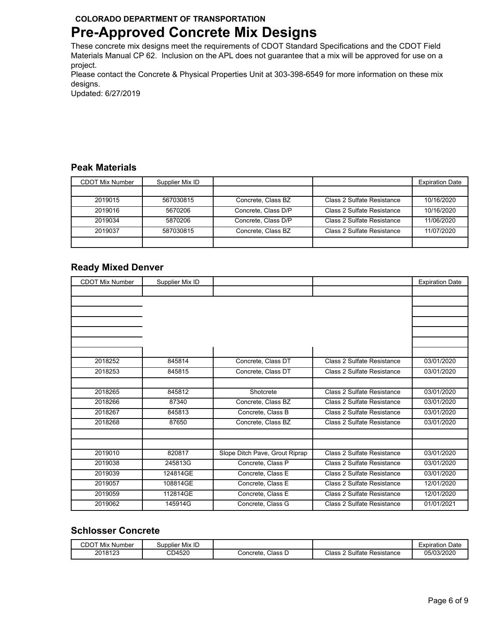# **Pre-Approved Concrete Mix Designs**

These concrete mix designs meet the requirements of CDOT Standard Specifications and the CDOT Field Materials Manual CP 62. Inclusion on the APL does not guarantee that a mix will be approved for use on a project.

Please contact the Concrete & Physical Properties Unit at 303-398-6549 for more information on these mix designs.

Updated: 6/27/2019

## **Peak Materials**

| <b>CDOT Mix Number</b> | Supplier Mix ID |                     |                            | <b>Expiration Date</b> |
|------------------------|-----------------|---------------------|----------------------------|------------------------|
|                        |                 |                     |                            |                        |
| 2019015                | 567030815       | Concrete, Class BZ  | Class 2 Sulfate Resistance | 10/16/2020             |
| 2019016                | 5670206         | Concrete, Class D/P | Class 2 Sulfate Resistance | 10/16/2020             |
| 2019034                | 5870206         | Concrete, Class D/P | Class 2 Sulfate Resistance | 11/06/2020             |
| 2019037                | 587030815       | Concrete, Class BZ  | Class 2 Sulfate Resistance | 11/07/2020             |
|                        |                 |                     |                            |                        |

### **Ready Mixed Denver**

| <b>CDOT Mix Number</b> | Supplier Mix ID |                                |                            | <b>Expiration Date</b> |
|------------------------|-----------------|--------------------------------|----------------------------|------------------------|
|                        |                 |                                |                            |                        |
|                        |                 |                                |                            |                        |
|                        |                 |                                |                            |                        |
|                        |                 |                                |                            |                        |
|                        |                 |                                |                            |                        |
|                        |                 |                                |                            |                        |
|                        |                 |                                |                            |                        |
| 2018252                | 845814          | Concrete, Class DT             | Class 2 Sulfate Resistance | 03/01/2020             |
| 2018253                | 845815          | Concrete, Class DT             | Class 2 Sulfate Resistance | 03/01/2020             |
|                        |                 |                                |                            |                        |
| 2018265                | 845812          | Shotcrete                      | Class 2 Sulfate Resistance | 03/01/2020             |
| 2018266                | 87340           | Concrete, Class BZ             | Class 2 Sulfate Resistance | 03/01/2020             |
| 2018267                | 845813          | Concrete, Class B              | Class 2 Sulfate Resistance | 03/01/2020             |
| 2018268                | 87650           | Concrete, Class BZ             | Class 2 Sulfate Resistance | 03/01/2020             |
|                        |                 |                                |                            |                        |
|                        |                 |                                |                            |                        |
| 2019010                | 820817          | Slope Ditch Pave, Grout Riprap | Class 2 Sulfate Resistance | 03/01/2020             |
| 2019038                | 245813G         | Concrete, Class P              | Class 2 Sulfate Resistance | 03/01/2020             |
| 2019039                | 124814GE        | Concrete, Class E              | Class 2 Sulfate Resistance | 03/01/2020             |
| 2019057                | 108814GE        | Concrete, Class E              | Class 2 Sulfate Resistance | 12/01/2020             |
| 2019059                | 112814GE        | Concrete, Class E              | Class 2 Sulfate Resistance | 12/01/2020             |
| 2019062                | 145914G         | Concrete, Class G              | Class 2 Sulfate Resistance | 01/01/2021             |

### **Schlosser Concrete**

| CDOT Mix<br>่ Number | Supplier Mix ID |                     |                                 | Date<br>Expiration |
|----------------------|-----------------|---------------------|---------------------------------|--------------------|
| 2018123              | CD4520          | Class D<br>Concrete | Sulfate,<br>Class<br>Resistance | 05/03/2020         |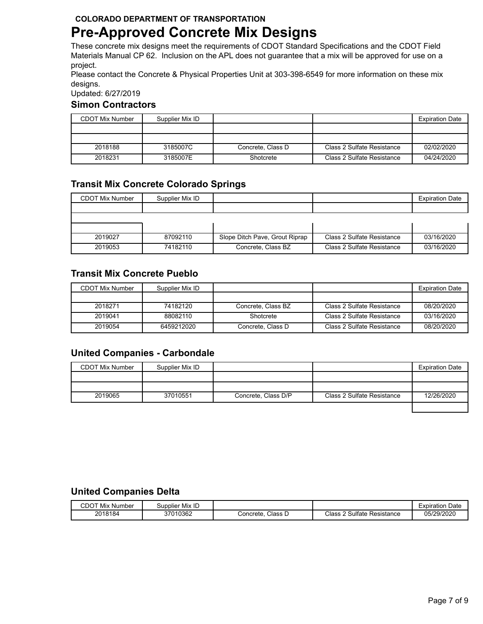# **Pre-Approved Concrete Mix Designs**

These concrete mix designs meet the requirements of CDOT Standard Specifications and the CDOT Field Materials Manual CP 62. Inclusion on the APL does not guarantee that a mix will be approved for use on a project.

Please contact the Concrete & Physical Properties Unit at 303-398-6549 for more information on these mix designs.

Updated: 6/27/2019

#### **Simon Contractors**

| CDOT Mix Number | Supplier Mix ID |                   |                            | <b>Expiration Date</b> |
|-----------------|-----------------|-------------------|----------------------------|------------------------|
|                 |                 |                   |                            |                        |
|                 |                 |                   |                            |                        |
| 2018188         | 3185007C        | Concrete, Class D | Class 2 Sulfate Resistance | 02/02/2020             |
| 2018231         | 3185007E        | Shotcrete         | Class 2 Sulfate Resistance | 04/24/2020             |

### **Transit Mix Concrete Colorado Springs**

| <b>CDOT Mix Number</b> | Supplier Mix ID |                                |                            | <b>Expiration Date</b> |
|------------------------|-----------------|--------------------------------|----------------------------|------------------------|
|                        |                 |                                |                            |                        |
|                        |                 |                                |                            |                        |
|                        |                 |                                |                            |                        |
| 2019027                | 87092110        | Slope Ditch Pave, Grout Riprap | Class 2 Sulfate Resistance | 03/16/2020             |
| 2019053                | 74182110        | Concrete, Class BZ             | Class 2 Sulfate Resistance | 03/16/2020             |

### **Transit Mix Concrete Pueblo**

| <b>CDOT Mix Number</b> | Supplier Mix ID |                    |                            | <b>Expiration Date</b> |
|------------------------|-----------------|--------------------|----------------------------|------------------------|
|                        |                 |                    |                            |                        |
| 2018271                | 74182120        | Concrete, Class BZ | Class 2 Sulfate Resistance | 08/20/2020             |
| 2019041                | 88082110        | Shotcrete          | Class 2 Sulfate Resistance | 03/16/2020             |
| 2019054                | 6459212020      | Concrete, Class D  | Class 2 Sulfate Resistance | 08/20/2020             |

## **United Companies - Carbondale**

| <b>CDOT Mix Number</b> | Supplier Mix ID |                     |                            | <b>Expiration Date</b> |
|------------------------|-----------------|---------------------|----------------------------|------------------------|
|                        |                 |                     |                            |                        |
|                        |                 |                     |                            |                        |
| 2019065                | 37010551        | Concrete, Class D/P | Class 2 Sulfate Resistance | 12/26/2020             |

#### **United Companies Delta**

| CDOT<br>.<br>: Number<br>Mix | Supplier Mix ID |                   |                                               | Date<br>Expiratior |
|------------------------------|-----------------|-------------------|-----------------------------------------------|--------------------|
| 2018184                      | 37010362        | Class<br>Concrete | Sulfate<br>Class<br>-<br>$\sim$<br>Resistance | 05/29/2020         |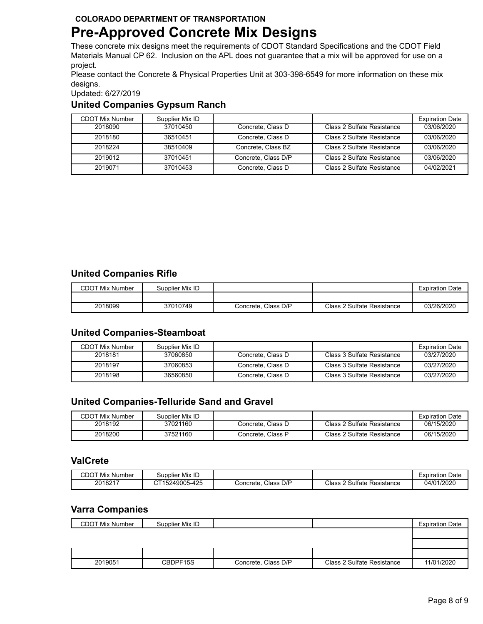# **Pre-Approved Concrete Mix Designs**

These concrete mix designs meet the requirements of CDOT Standard Specifications and the CDOT Field Materials Manual CP 62. Inclusion on the APL does not guarantee that a mix will be approved for use on a project.

Please contact the Concrete & Physical Properties Unit at 303-398-6549 for more information on these mix designs.

Updated: 6/27/2019

#### **United Companies Gypsum Ranch**

| <b>CDOT Mix Number</b> | Supplier Mix ID |                     |                            | <b>Expiration Date</b> |
|------------------------|-----------------|---------------------|----------------------------|------------------------|
| 2018090                | 37010450        | Concrete, Class D   | Class 2 Sulfate Resistance | 03/06/2020             |
| 2018180                | 36510451        | Concrete, Class D   | Class 2 Sulfate Resistance | 03/06/2020             |
| 2018224                | 38510409        | Concrete, Class BZ  | Class 2 Sulfate Resistance | 03/06/2020             |
| 2019012                | 37010451        | Concrete. Class D/P | Class 2 Sulfate Resistance | 03/06/2020             |
| 2019071                | 37010453        | Concrete, Class D   | Class 2 Sulfate Resistance | 04/02/2021             |

#### **United Companies Rifle**

| <b>CDOT Mix Number</b> | Supplier Mix ID |                     |                            | <b>Expiration Date</b> |
|------------------------|-----------------|---------------------|----------------------------|------------------------|
|                        |                 |                     |                            |                        |
| 2018099                | 37010749        | Concrete. Class D/P | Class 2 Sulfate Resistance | 03/26/2020             |

#### **United Companies-Steamboat**

| CDOT Mix Number | Supplier Mix ID |                   |                            | <b>Expiration Date</b> |
|-----------------|-----------------|-------------------|----------------------------|------------------------|
| 2018181         | 37060850        | Concrete, Class D | Class 3 Sulfate Resistance | 03/27/2020             |
| 2018197         | 37060853        | Concrete, Class D | Class 3 Sulfate Resistance | 03/27/2020             |
| 2018198         | 36560850        | Concrete, Class D | Class 3 Sulfate Resistance | 03/27/2020             |

## **United Companies-Telluride Sand and Gravel**

| <b>CDOT Mix Number</b> | Supplier Mix ID |                   |                            | <b>Expiration Date</b> |
|------------------------|-----------------|-------------------|----------------------------|------------------------|
| 2018192                | 37021160        | Concrete. Class D | Class 2 Sulfate Resistance | 06/15/2020             |
| 2018200                | 37521160        | Concrete. Class P | Class 2 Sulfate Resistance | 06/15/2020             |

### **ValCrete**

| CDOT<br>Mix<br>. Number | Supplier Mix ID           |                       |                                                 | Date<br>cxpiration |
|-------------------------|---------------------------|-----------------------|-------------------------------------------------|--------------------|
| 2018217                 | $-425$<br>15249005<br>−ເບ | Class D/P<br>Concrete | Class<br><b>Sulfate</b><br>$\sim$<br>Resistance | 1/2020<br>04/01    |

#### **Varra Companies**

| CDOT Mix Number | Supplier Mix ID |                     |                            | <b>Expiration Date</b> |
|-----------------|-----------------|---------------------|----------------------------|------------------------|
|                 |                 |                     |                            |                        |
|                 |                 |                     |                            |                        |
|                 |                 |                     |                            |                        |
| 2019051         | CBDPF15S        | Concrete, Class D/P | Class 2 Sulfate Resistance | 11/01/2020             |